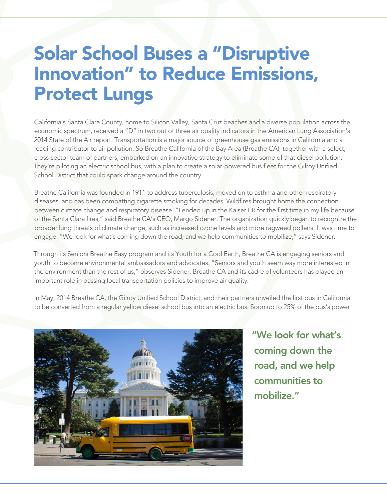## Solar School Buses a "Disruptive Innovation" to Reduce Emissions, Protect Lungs

California's Santa Clara County, home to Silicon Valley, Santa Cruz beaches and a diverse population across the economic spectrum, received a "D" in two out of three air quality indicators in the American Lung Association's 2014 State of the Air report. Transportation is a major source of greenhouse gas emissions in California and a leading contributor to air pollution. So Breathe California of the Bay Area (Breathe CA), together with a select, cross-sector team of partners, embarked on an innovative strategy to eliminate some of that diesel pollution. They're piloting an electric school bus, with a plan to create a solar-powered bus fleet for the Gilroy Unified School District that could spark change around the country.

Breathe California was founded in 1911 to address tuberculosis, moved on to asthma and other respiratory diseases, and has been combatting cigarette smoking for decades. Wildfires brought home the connection between climate change and respiratory disease. "I ended up in the Kaiser ER for the first time in my life because of the Santa Clara fires," said Breathe CA's CEO, Margo Sidener. The organization quickly began to recognize the broader lung threats of climate change, such as increased ozone levels and more ragweed pollens. It was time to engage. "We look for what's coming down the road, and we help communities to mobilize," says Sidener.

Through its Seniors Breathe Easy program and its Youth for a Cool Earth, Breathe CA is engaging seniors and youth to become environmental ambassadors and advocates. "Seniors and youth seem way more interested in the environment than the rest of us," observes Sidener. Breathe CA and its cadre of volunteers has played an important role in passing local transportation policies to improve air quality.

In May, 2014 Breathe CA, the Gilroy Unified School District, and their partners unveiled the first bus in California to be converted from a regular yellow diesel school bus into an electric bus. Soon up to 25% of the bus's power



"We look for what's coming down the road, and we help communities to mobilize."